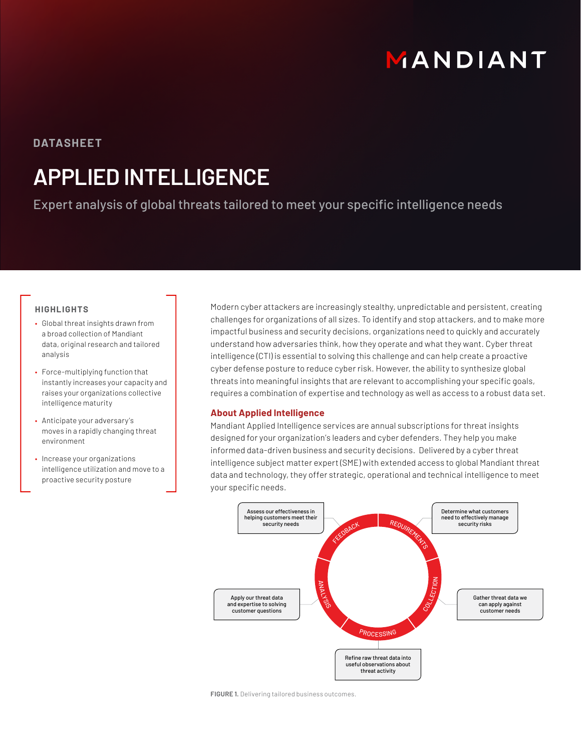# MANDIANT

### **DATASHEET**

## **APPLIED INTELLIGENCE**

Expert analysis of global threats tailored to meet your specific intelligence needs

#### **HIGHLIGHTS**

- Global threat insights drawn from a broad collection of Mandiant data, original research and tailored analysis
- Force-multiplying function that instantly increases your capacity and raises your organizations collective intelligence maturity
- Anticipate your adversary's moves in a rapidly changing threat environment
- Increase your organizations intelligence utilization and move to a proactive security posture

Modern cyber attackers are increasingly stealthy, unpredictable and persistent, creating challenges for organizations of all sizes. To identify and stop attackers, and to make more impactful business and security decisions, organizations need to quickly and accurately understand how adversaries think, how they operate and what they want. Cyber threat intelligence (CTI) is essential to solving this challenge and can help create a proactive cyber defense posture to reduce cyber risk. However, the ability to synthesize global threats into meaningful insights that are relevant to accomplishing your specific goals, requires a combination of expertise and technology as well as access to a robust data set.

#### **About Applied Intelligence**

Mandiant Applied Intelligence services are annual subscriptions for threat insights designed for your organization's leaders and cyber defenders. They help you make informed data-driven business and security decisions. Delivered by a cyber threat intelligence subject matter expert (SME) with extended access to global Mandiant threat data and technology, they offer strategic, operational and technical intelligence to meet your specific needs.



**FIGURE 1.** Delivering tailored business outcomes.